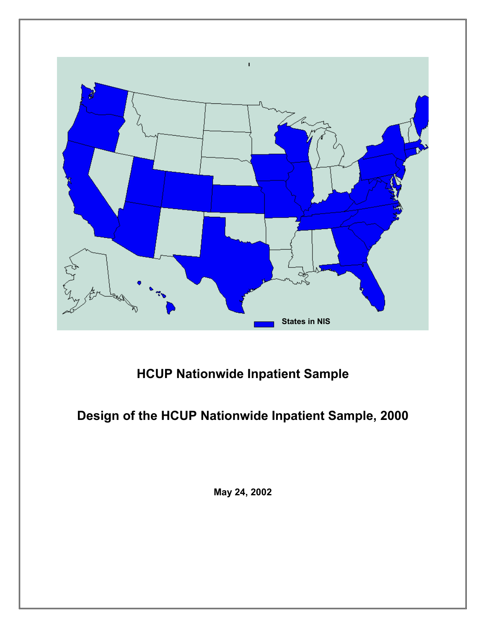

# **HCUP Nationwide Inpatient Sample**

# **Design of the HCUP Nationwide Inpatient Sample, 2000**

**May 24, 2002**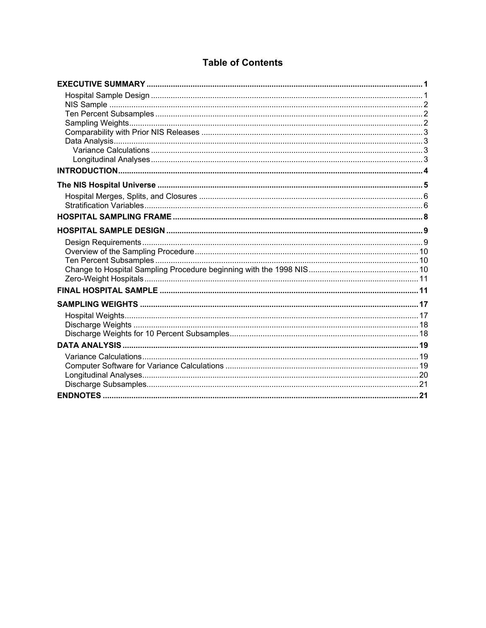# **Table of Contents**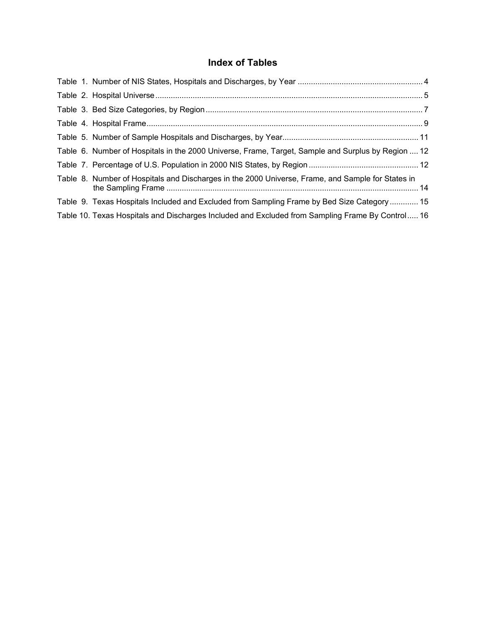# **Index of Tables**

|  | Table 6. Number of Hospitals in the 2000 Universe, Frame, Target, Sample and Surplus by Region  12 |  |
|--|----------------------------------------------------------------------------------------------------|--|
|  |                                                                                                    |  |
|  | Table 8. Number of Hospitals and Discharges in the 2000 Universe, Frame, and Sample for States in  |  |
|  | Table 9. Texas Hospitals Included and Excluded from Sampling Frame by Bed Size Category  15        |  |
|  | Table 10. Texas Hospitals and Discharges Included and Excluded from Sampling Frame By Control 16   |  |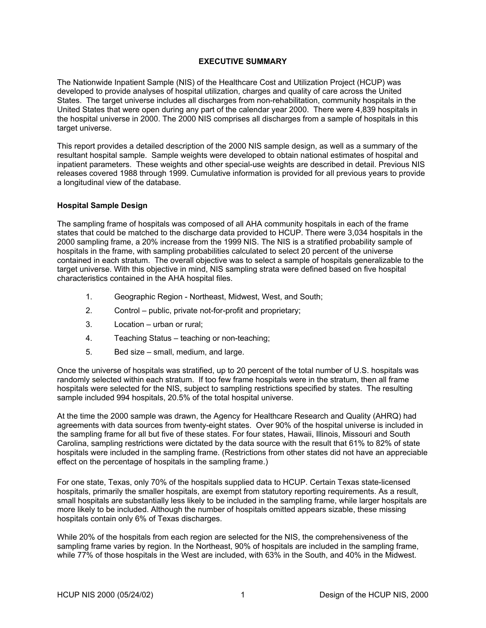# **EXECUTIVE SUMMARY**

<span id="page-3-0"></span>The Nationwide Inpatient Sample (NIS) of the Healthcare Cost and Utilization Project (HCUP) was developed to provide analyses of hospital utilization, charges and quality of care across the United States. The target universe includes all discharges from non-rehabilitation, community hospitals in the United States that were open during any part of the calendar year 2000. There were 4,839 hospitals in the hospital universe in 2000. The 2000 NIS comprises all discharges from a sample of hospitals in this target universe.

This report provides a detailed description of the 2000 NIS sample design, as well as a summary of the resultant hospital sample. Sample weights were developed to obtain national estimates of hospital and inpatient parameters. These weights and other special-use weights are described in detail. Previous NIS releases covered 1988 through 1999. Cumulative information is provided for all previous years to provide a longitudinal view of the database.

#### **Hospital Sample Design**

The sampling frame of hospitals was composed of all AHA community hospitals in each of the frame states that could be matched to the discharge data provided to HCUP. There were 3,034 hospitals in the 2000 sampling frame, a 20% increase from the 1999 NIS. The NIS is a stratified probability sample of hospitals in the frame, with sampling probabilities calculated to select 20 percent of the universe contained in each stratum. The overall objective was to select a sample of hospitals generalizable to the target universe. With this objective in mind, NIS sampling strata were defined based on five hospital characteristics contained in the AHA hospital files.

- 1. Geographic Region Northeast, Midwest, West, and South;
- 2. Control public, private not-for-profit and proprietary;
- 3. Location urban or rural;
- 4. Teaching Status teaching or non-teaching;
- 5. Bed size small, medium, and large.

Once the universe of hospitals was stratified, up to 20 percent of the total number of U.S. hospitals was randomly selected within each stratum. If too few frame hospitals were in the stratum, then all frame hospitals were selected for the NIS, subject to sampling restrictions specified by states. The resulting sample included 994 hospitals, 20.5% of the total hospital universe.

At the time the 2000 sample was drawn, the Agency for Healthcare Research and Quality (AHRQ) had agreements with data sources from twenty-eight states. Over 90% of the hospital universe is included in the sampling frame for all but five of these states. For four states, Hawaii, Illinois, Missouri and South Carolina, sampling restrictions were dictated by the data source with the result that 61% to 82% of state hospitals were included in the sampling frame. (Restrictions from other states did not have an appreciable effect on the percentage of hospitals in the sampling frame.)

For one state, Texas, only 70% of the hospitals supplied data to HCUP. Certain Texas state-licensed hospitals, primarily the smaller hospitals, are exempt from statutory reporting requirements. As a result, small hospitals are substantially less likely to be included in the sampling frame, while larger hospitals are more likely to be included. Although the number of hospitals omitted appears sizable, these missing hospitals contain only 6% of Texas discharges.

While 20% of the hospitals from each region are selected for the NIS, the comprehensiveness of the sampling frame varies by region. In the Northeast, 90% of hospitals are included in the sampling frame, while 77% of those hospitals in the West are included, with 63% in the South, and 40% in the Midwest.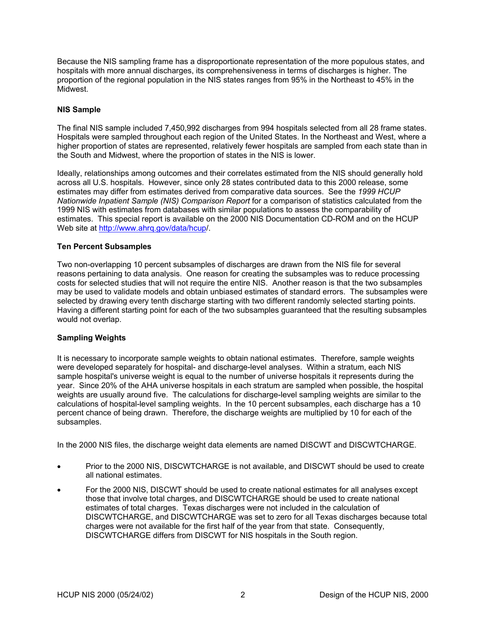<span id="page-4-0"></span>Because the NIS sampling frame has a disproportionate representation of the more populous states, and hospitals with more annual discharges, its comprehensiveness in terms of discharges is higher. The proportion of the regional population in the NIS states ranges from 95% in the Northeast to 45% in the Midwest.

## **NIS Sample**

The final NIS sample included 7,450,992 discharges from 994 hospitals selected from all 28 frame states. Hospitals were sampled throughout each region of the United States. In the Northeast and West, where a higher proportion of states are represented, relatively fewer hospitals are sampled from each state than in the South and Midwest, where the proportion of states in the NIS is lower.

Ideally, relationships among outcomes and their correlates estimated from the NIS should generally hold across all U.S. hospitals. However, since only 28 states contributed data to this 2000 release, some estimates may differ from estimates derived from comparative data sources. See the *1999 HCUP Nationwide Inpatient Sample (NIS) Comparison Report* for a comparison of statistics calculated from the 1999 NIS with estimates from databases with similar populations to assess the comparability of estimates. This special report is available on the 2000 NIS Documentation CD-ROM and on the HCUP Web site at [http://www.ahrq.gov/data/hcup/](http://www.ahrq.gov/data/hcup).

## **Ten Percent Subsamples**

Two non-overlapping 10 percent subsamples of discharges are drawn from the NIS file for several reasons pertaining to data analysis. One reason for creating the subsamples was to reduce processing costs for selected studies that will not require the entire NIS. Another reason is that the two subsamples may be used to validate models and obtain unbiased estimates of standard errors. The subsamples were selected by drawing every tenth discharge starting with two different randomly selected starting points. Having a different starting point for each of the two subsamples guaranteed that the resulting subsamples would not overlap.

#### **Sampling Weights**

It is necessary to incorporate sample weights to obtain national estimates. Therefore, sample weights were developed separately for hospital- and discharge-level analyses. Within a stratum, each NIS sample hospital's universe weight is equal to the number of universe hospitals it represents during the year. Since 20% of the AHA universe hospitals in each stratum are sampled when possible, the hospital weights are usually around five. The calculations for discharge-level sampling weights are similar to the calculations of hospital-level sampling weights. In the 10 percent subsamples, each discharge has a 10 percent chance of being drawn. Therefore, the discharge weights are multiplied by 10 for each of the subsamples.

In the 2000 NIS files, the discharge weight data elements are named DISCWT and DISCWTCHARGE.

- Prior to the 2000 NIS, DISCWTCHARGE is not available, and DISCWT should be used to create all national estimates.
- For the 2000 NIS, DISCWT should be used to create national estimates for all analyses except those that involve total charges, and DISCWTCHARGE should be used to create national estimates of total charges. Texas discharges were not included in the calculation of DISCWTCHARGE, and DISCWTCHARGE was set to zero for all Texas discharges because total charges were not available for the first half of the year from that state. Consequently, DISCWTCHARGE differs from DISCWT for NIS hospitals in the South region.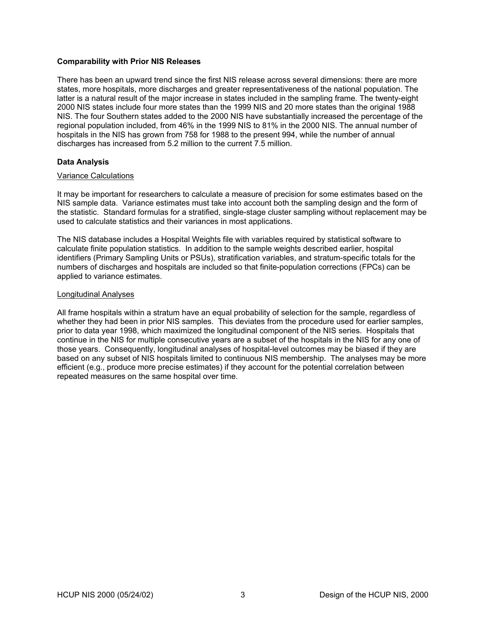#### <span id="page-5-0"></span>**Comparability with Prior NIS Releases**

There has been an upward trend since the first NIS release across several dimensions: there are more states, more hospitals, more discharges and greater representativeness of the national population. The latter is a natural result of the major increase in states included in the sampling frame. The twenty-eight 2000 NIS states include four more states than the 1999 NIS and 20 more states than the original 1988 NIS. The four Southern states added to the 2000 NIS have substantially increased the percentage of the regional population included, from 46% in the 1999 NIS to 81% in the 2000 NIS. The annual number of hospitals in the NIS has grown from 758 for 1988 to the present 994, while the number of annual discharges has increased from 5.2 million to the current 7.5 million.

## **Data Analysis**

#### Variance Calculations

It may be important for researchers to calculate a measure of precision for some estimates based on the NIS sample data. Variance estimates must take into account both the sampling design and the form of the statistic. Standard formulas for a stratified, single-stage cluster sampling without replacement may be used to calculate statistics and their variances in most applications.

The NIS database includes a Hospital Weights file with variables required by statistical software to calculate finite population statistics. In addition to the sample weights described earlier, hospital identifiers (Primary Sampling Units or PSUs), stratification variables, and stratum-specific totals for the numbers of discharges and hospitals are included so that finite-population corrections (FPCs) can be applied to variance estimates.

#### Longitudinal Analyses

All frame hospitals within a stratum have an equal probability of selection for the sample, regardless of whether they had been in prior NIS samples. This deviates from the procedure used for earlier samples, prior to data year 1998, which maximized the longitudinal component of the NIS series. Hospitals that continue in the NIS for multiple consecutive years are a subset of the hospitals in the NIS for any one of those years. Consequently, longitudinal analyses of hospital-level outcomes may be biased if they are based on any subset of NIS hospitals limited to continuous NIS membership. The analyses may be more efficient (e.g., produce more precise estimates) if they account for the potential correlation between repeated measures on the same hospital over time.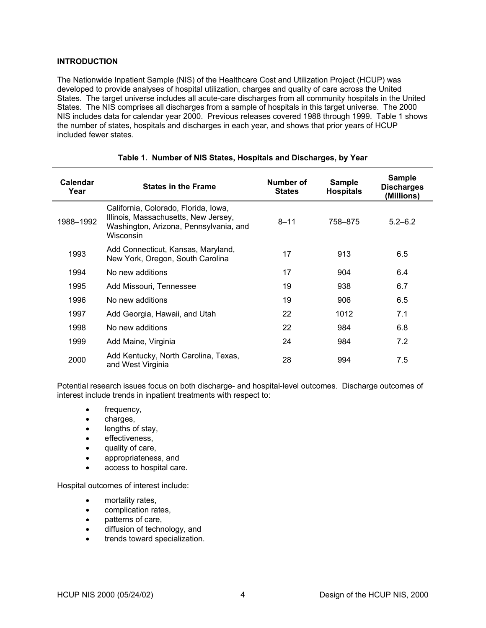# <span id="page-6-0"></span>**INTRODUCTION**

The Nationwide Inpatient Sample (NIS) of the Healthcare Cost and Utilization Project (HCUP) was developed to provide analyses of hospital utilization, charges and quality of care across the United States. The target universe includes all acute-care discharges from all community hospitals in the United States. The NIS comprises all discharges from a sample of hospitals in this target universe. The 2000 NIS includes data for calendar year 2000. Previous releases covered 1988 through 1999. [Table 1](#page-6-1) shows the number of states, hospitals and discharges in each year, and shows that prior years of HCUP included fewer states.

| Calendar<br>Year | <b>States in the Frame</b>                                                                                                          | Number of<br><b>States</b> | <b>Sample</b><br><b>Hospitals</b> | <b>Sample</b><br><b>Discharges</b><br>(Millions) |
|------------------|-------------------------------------------------------------------------------------------------------------------------------------|----------------------------|-----------------------------------|--------------------------------------------------|
| 1988-1992        | California, Colorado, Florida, Iowa,<br>Illinois, Massachusetts, New Jersey,<br>Washington, Arizona, Pennsylvania, and<br>Wisconsin | $8 - 11$                   | 758-875                           | $5.2 - 6.2$                                      |
| 1993             | Add Connecticut, Kansas, Maryland,<br>New York, Oregon, South Carolina                                                              | 17                         | 913                               | 6.5                                              |
| 1994             | No new additions                                                                                                                    | 17                         | 904                               | 6.4                                              |
| 1995             | Add Missouri, Tennessee                                                                                                             | 19                         | 938                               | 6.7                                              |
| 1996             | No new additions                                                                                                                    | 19                         | 906                               | 6.5                                              |
| 1997             | Add Georgia, Hawaii, and Utah                                                                                                       | 22                         | 1012                              | 7.1                                              |
| 1998             | No new additions                                                                                                                    | 22                         | 984                               | 6.8                                              |
| 1999             | Add Maine, Virginia                                                                                                                 | 24                         | 984                               | 7.2                                              |
| 2000             | Add Kentucky, North Carolina, Texas,<br>and West Virginia                                                                           | 28                         | 994                               | 7.5                                              |

## <span id="page-6-1"></span>**Table 1. Number of NIS States, Hospitals and Discharges, by Year**

Potential research issues focus on both discharge- and hospital-level outcomes. Discharge outcomes of interest include trends in inpatient treatments with respect to:

- frequency,
- charges,
- lengths of stay,
- effectiveness,
- quality of care,
- appropriateness, and
- access to hospital care.

Hospital outcomes of interest include:

- mortality rates,
- complication rates,
- patterns of care,
- diffusion of technology, and
- trends toward specialization.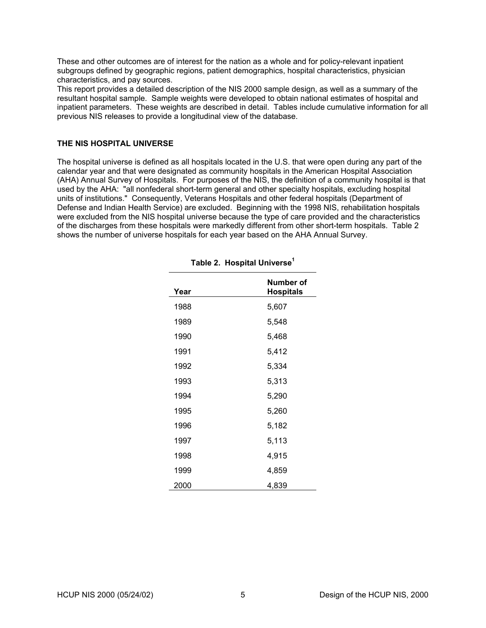<span id="page-7-0"></span>These and other outcomes are of interest for the nation as a whole and for policy-relevant inpatient subgroups defined by geographic regions, patient demographics, hospital characteristics, physician characteristics, and pay sources.

This report provides a detailed description of the NIS 2000 sample design, as well as a summary of the resultant hospital sample. Sample weights were developed to obtain national estimates of hospital and inpatient parameters. These weights are described in detail. Tables include cumulative information for all previous NIS releases to provide a longitudinal view of the database.

# **THE NIS HOSPITAL UNIVERSE**

The hospital universe is defined as all hospitals located in the U.S. that were open during any part of the calendar year and that were designated as community hospitals in the American Hospital Association (AHA) Annual Survey of Hospitals. For purposes of the NIS, the definition of a community hospital is that used by the AHA: "all nonfederal short-term general and other specialty hospitals, excluding hospital units of institutions." Consequently, Veterans Hospitals and other federal hospitals (Department of Defense and Indian Health Service) are excluded. Beginning with the 1998 NIS, rehabilitation hospitals were excluded from the NIS hospital universe because the type of care provided and the characteristics of the discharges from these hospitals were markedly different from other short-term hospitals. [Table 2](#page-7-1)  shows the number of universe hospitals for each year based on the AHA Annual Survey.

| Year | Number of<br><b>Hospitals</b> |
|------|-------------------------------|
| 1988 | 5,607                         |
| 1989 | 5,548                         |
| 1990 | 5,468                         |
| 1991 | 5,412                         |
| 1992 | 5,334                         |
| 1993 | 5,313                         |
| 1994 | 5,290                         |
| 1995 | 5,260                         |
| 1996 | 5,182                         |
| 1997 | 5,113                         |
| 1998 | 4,915                         |
| 1999 | 4,859                         |
| 2000 | 4,839                         |

# <span id="page-7-1"></span>**Table 2. Hospital Universe[1](#page-23-1)**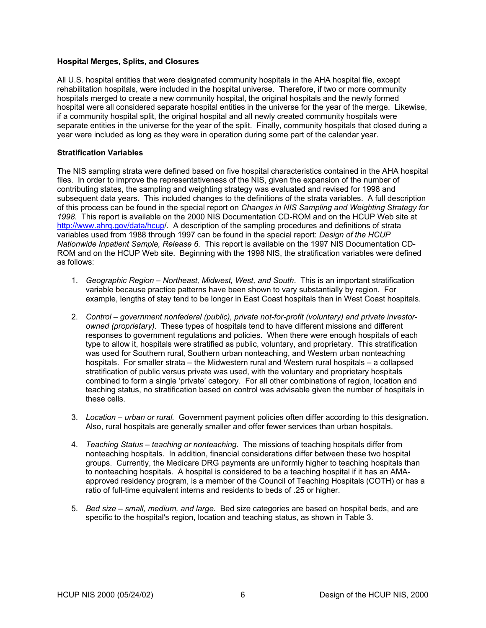# <span id="page-8-0"></span>**Hospital Merges, Splits, and Closures**

All U.S. hospital entities that were designated community hospitals in the AHA hospital file, except rehabilitation hospitals, were included in the hospital universe. Therefore, if two or more community hospitals merged to create a new community hospital, the original hospitals and the newly formed hospital were all considered separate hospital entities in the universe for the year of the merge. Likewise, if a community hospital split, the original hospital and all newly created community hospitals were separate entities in the universe for the year of the split. Finally, community hospitals that closed during a year were included as long as they were in operation during some part of the calendar year.

#### **Stratification Variables**

The NIS sampling strata were defined based on five hospital characteristics contained in the AHA hospital files. In order to improve the representativeness of the NIS, given the expansion of the number of contributing states, the sampling and weighting strategy was evaluated and revised for 1998 and subsequent data years. This included changes to the definitions of the strata variables. A full description of this process can be found in the special report on *Changes in NIS Sampling and Weighting Strategy for 1998.* This report is available on the 2000 NIS Documentation CD-ROM and on the HCUP Web site at <http://www.ahrq.gov/data/hcup>/. A description of the sampling procedures and definitions of strata variables used from 1988 through 1997 can be found in the special report: *Design of the HCUP Nationwide Inpatient Sample, Release 6.* This report is available on the 1997 NIS Documentation CD-ROM and on the HCUP Web site. Beginning with the 1998 NIS, the stratification variables were defined as follows:

- 1. *Geographic Region Northeast, Midwest, West, and South*. This is an important stratification variable because practice patterns have been shown to vary substantially by region. For example, lengths of stay tend to be longer in East Coast hospitals than in West Coast hospitals.
- 2. *Control government nonfederal (public), private not-for-profit (voluntary) and private investorowned (proprietary)*. These types of hospitals tend to have different missions and different responses to government regulations and policies. When there were enough hospitals of each type to allow it, hospitals were stratified as public, voluntary, and proprietary. This stratification was used for Southern rural, Southern urban nonteaching, and Western urban nonteaching hospitals. For smaller strata – the Midwestern rural and Western rural hospitals – a collapsed stratification of public versus private was used, with the voluntary and proprietary hospitals combined to form a single 'private' category. For all other combinations of region, location and teaching status, no stratification based on control was advisable given the number of hospitals in these cells.
- 3. *Location urban or rural.* Government payment policies often differ according to this designation. Also, rural hospitals are generally smaller and offer fewer services than urban hospitals.
- 4. *Teaching Status teaching or nonteaching*. The missions of teaching hospitals differ from nonteaching hospitals. In addition, financial considerations differ between these two hospital groups. Currently, the Medicare DRG payments are uniformly higher to teaching hospitals than to nonteaching hospitals. A hospital is considered to be a teaching hospital if it has an AMAapproved residency program, is a member of the Council of Teaching Hospitals (COTH) or has a ratio of full-time equivalent interns and residents to beds of .25 or higher.
- 5. *Bed size small, medium, and large.* Bed size categories are based on hospital beds, and are specific to the hospital's region, location and teaching status, as shown in Table 3.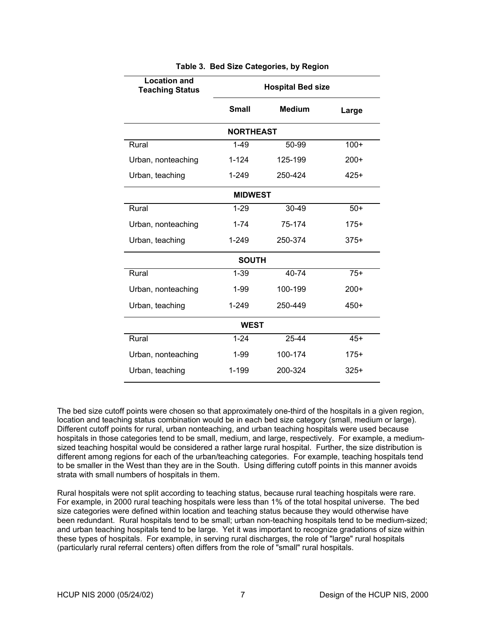<span id="page-9-0"></span>

| <b>Location and</b><br><b>Teaching Status</b> | <b>Hospital Bed size</b>      |         |        |  |  |  |  |  |
|-----------------------------------------------|-------------------------------|---------|--------|--|--|--|--|--|
|                                               | <b>Small</b><br><b>Medium</b> |         | Large  |  |  |  |  |  |
| <b>NORTHEAST</b>                              |                               |         |        |  |  |  |  |  |
| Rural                                         | $1 - 49$                      | 50-99   | $100+$ |  |  |  |  |  |
| Urban, nonteaching                            | $1 - 124$                     | 125-199 | $200+$ |  |  |  |  |  |
| Urban, teaching                               | $1 - 249$                     | 250-424 | $425+$ |  |  |  |  |  |
|                                               | <b>MIDWEST</b>                |         |        |  |  |  |  |  |
| Rural                                         | $1 - 29$                      | 30-49   | $50+$  |  |  |  |  |  |
| Urban, nonteaching                            | $1 - 74$                      | 75-174  | $175+$ |  |  |  |  |  |
| Urban, teaching                               | 1-249<br>250-374              |         | $375+$ |  |  |  |  |  |
|                                               | <b>SOUTH</b>                  |         |        |  |  |  |  |  |
| Rural                                         | $1 - 39$                      | 40-74   | $75+$  |  |  |  |  |  |
| Urban, nonteaching                            | 1-99                          | 100-199 | $200+$ |  |  |  |  |  |
| Urban, teaching                               | $1 - 249$                     | 250-449 | $450+$ |  |  |  |  |  |
| <b>WEST</b>                                   |                               |         |        |  |  |  |  |  |
| Rural                                         | $1 - 24$                      | 25-44   | $45+$  |  |  |  |  |  |
| Urban, nonteaching                            | $1 - 99$                      | 100-174 | $175+$ |  |  |  |  |  |
| Urban, teaching                               | 1-199                         | 200-324 | $325+$ |  |  |  |  |  |

#### **Table 3. Bed Size Categories, by Region**

The bed size cutoff points were chosen so that approximately one-third of the hospitals in a given region, location and teaching status combination would be in each bed size category (small, medium or large). Different cutoff points for rural, urban nonteaching, and urban teaching hospitals were used because hospitals in those categories tend to be small, medium, and large, respectively. For example, a mediumsized teaching hospital would be considered a rather large rural hospital. Further, the size distribution is different among regions for each of the urban/teaching categories. For example, teaching hospitals tend to be smaller in the West than they are in the South. Using differing cutoff points in this manner avoids strata with small numbers of hospitals in them.

Rural hospitals were not split according to teaching status, because rural teaching hospitals were rare. For example, in 2000 rural teaching hospitals were less than 1% of the total hospital universe. The bed size categories were defined within location and teaching status because they would otherwise have been redundant. Rural hospitals tend to be small; urban non-teaching hospitals tend to be medium-sized; and urban teaching hospitals tend to be large. Yet it was important to recognize gradations of size within these types of hospitals. For example, in serving rural discharges, the role of "large" rural hospitals (particularly rural referral centers) often differs from the role of "small" rural hospitals.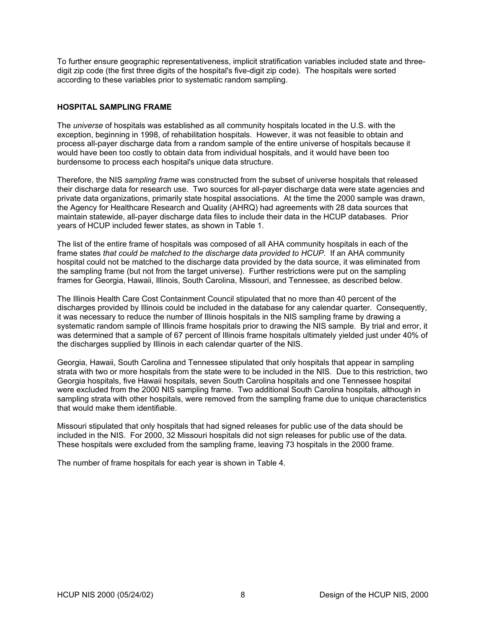<span id="page-10-0"></span>To further ensure geographic representativeness, implicit stratification variables included state and threedigit zip code (the first three digits of the hospital's five-digit zip code). The hospitals were sorted according to these variables prior to systematic random sampling.

# **HOSPITAL SAMPLING FRAME**

The *universe* of hospitals was established as all community hospitals located in the U.S. with the exception, beginning in 1998, of rehabilitation hospitals. However, it was not feasible to obtain and process all-payer discharge data from a random sample of the entire universe of hospitals because it would have been too costly to obtain data from individual hospitals, and it would have been too burdensome to process each hospital's unique data structure.

Therefore, the NIS *sampling frame* was constructed from the subset of universe hospitals that released their discharge data for research use. Two sources for all-payer discharge data were state agencies and private data organizations, primarily state hospital associations. At the time the 2000 sample was drawn, the Agency for Healthcare Research and Quality (AHRQ) had agreements with 28 data sources that maintain statewide, all-payer discharge data files to include their data in the HCUP databases. Prior years of HCUP included fewer states, as shown in Table 1.

The list of the entire frame of hospitals was composed of all AHA community hospitals in each of the frame states *that could be matched to the discharge data provided to HCUP*. If an AHA community hospital could not be matched to the discharge data provided by the data source, it was eliminated from the sampling frame (but not from the target universe). Further restrictions were put on the sampling frames for Georgia, Hawaii, Illinois, South Carolina, Missouri, and Tennessee, as described below.

The Illinois Health Care Cost Containment Council stipulated that no more than 40 percent of the discharges provided by Illinois could be included in the database for any calendar quarter. Consequently, it was necessary to reduce the number of Illinois hospitals in the NIS sampling frame by drawing a systematic random sample of Illinois frame hospitals prior to drawing the NIS sample. By trial and error, it was determined that a sample of 67 percent of Illinois frame hospitals ultimately yielded just under 40% of the discharges supplied by Illinois in each calendar quarter of the NIS.

Georgia, Hawaii, South Carolina and Tennessee stipulated that only hospitals that appear in sampling strata with two or more hospitals from the state were to be included in the NIS. Due to this restriction, two Georgia hospitals, five Hawaii hospitals, seven South Carolina hospitals and one Tennessee hospital were excluded from the 2000 NIS sampling frame. Two additional South Carolina hospitals, although in sampling strata with other hospitals, were removed from the sampling frame due to unique characteristics that would make them identifiable.

Missouri stipulated that only hospitals that had signed releases for public use of the data should be included in the NIS. For 2000, 32 Missouri hospitals did not sign releases for public use of the data. These hospitals were excluded from the sampling frame, leaving 73 hospitals in the 2000 frame.

The number of frame hospitals for each year is shown in [Table 4.](#page-11-1)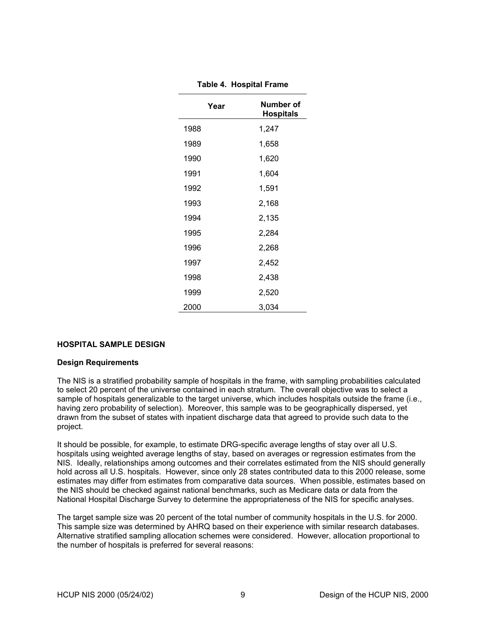<span id="page-11-0"></span>

| Year | Number of<br><b>Hospitals</b> |
|------|-------------------------------|
| 1988 | 1,247                         |
| 1989 | 1,658                         |
| 1990 | 1,620                         |
| 1991 | 1,604                         |
| 1992 | 1,591                         |
| 1993 | 2,168                         |
| 1994 | 2,135                         |
| 1995 | 2,284                         |
| 1996 | 2,268                         |
| 1997 | 2,452                         |
| 1998 | 2,438                         |
| 1999 | 2,520                         |
| 2000 | 3.034                         |

<span id="page-11-1"></span>**Table 4. Hospital Frame**

# **HOSPITAL SAMPLE DESIGN**

#### **Design Requirements**

The NIS is a stratified probability sample of hospitals in the frame, with sampling probabilities calculated to select 20 percent of the universe contained in each stratum. The overall objective was to select a sample of hospitals generalizable to the target universe, which includes hospitals outside the frame (i.e., having zero probability of selection). Moreover, this sample was to be geographically dispersed, yet drawn from the subset of states with inpatient discharge data that agreed to provide such data to the project.

It should be possible, for example, to estimate DRG-specific average lengths of stay over all U.S. hospitals using weighted average lengths of stay, based on averages or regression estimates from the NIS. Ideally, relationships among outcomes and their correlates estimated from the NIS should generally hold across all U.S. hospitals. However, since only 28 states contributed data to this 2000 release, some estimates may differ from estimates from comparative data sources. When possible, estimates based on the NIS should be checked against national benchmarks, such as Medicare data or data from the National Hospital Discharge Survey to determine the appropriateness of the NIS for specific analyses.

The target sample size was 20 percent of the total number of community hospitals in the U.S. for 2000. This sample size was determined by AHRQ based on their experience with similar research databases. Alternative stratified sampling allocation schemes were considered. However, allocation proportional to the number of hospitals is preferred for several reasons: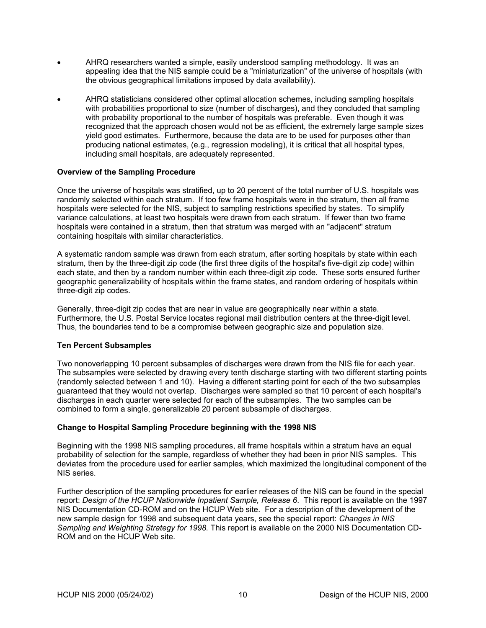- <span id="page-12-0"></span>• AHRQ researchers wanted a simple, easily understood sampling methodology. It was an appealing idea that the NIS sample could be a "miniaturization" of the universe of hospitals (with the obvious geographical limitations imposed by data availability).
- AHRQ statisticians considered other optimal allocation schemes, including sampling hospitals with probabilities proportional to size (number of discharges), and they concluded that sampling with probability proportional to the number of hospitals was preferable. Even though it was recognized that the approach chosen would not be as efficient, the extremely large sample sizes yield good estimates. Furthermore, because the data are to be used for purposes other than producing national estimates, (e.g., regression modeling), it is critical that all hospital types, including small hospitals, are adequately represented.

## **Overview of the Sampling Procedure**

Once the universe of hospitals was stratified, up to 20 percent of the total number of U.S. hospitals was randomly selected within each stratum. If too few frame hospitals were in the stratum, then all frame hospitals were selected for the NIS, subject to sampling restrictions specified by states. To simplify variance calculations, at least two hospitals were drawn from each stratum. If fewer than two frame hospitals were contained in a stratum, then that stratum was merged with an "adjacent" stratum containing hospitals with similar characteristics.

A systematic random sample was drawn from each stratum, after sorting hospitals by state within each stratum, then by the three-digit zip code (the first three digits of the hospital's five-digit zip code) within each state, and then by a random number within each three-digit zip code. These sorts ensured further geographic generalizability of hospitals within the frame states, and random ordering of hospitals within three-digit zip codes.

Generally, three-digit zip codes that are near in value are geographically near within a state. Furthermore, the U.S. Postal Service locates regional mail distribution centers at the three-digit level. Thus, the boundaries tend to be a compromise between geographic size and population size.

#### **Ten Percent Subsamples**

Two nonoverlapping 10 percent subsamples of discharges were drawn from the NIS file for each year. The subsamples were selected by drawing every tenth discharge starting with two different starting points (randomly selected between 1 and 10). Having a different starting point for each of the two subsamples guaranteed that they would not overlap. Discharges were sampled so that 10 percent of each hospital's discharges in each quarter were selected for each of the subsamples. The two samples can be combined to form a single, generalizable 20 percent subsample of discharges.

#### **Change to Hospital Sampling Procedure beginning with the 1998 NIS**

Beginning with the 1998 NIS sampling procedures, all frame hospitals within a stratum have an equal probability of selection for the sample, regardless of whether they had been in prior NIS samples. This deviates from the procedure used for earlier samples, which maximized the longitudinal component of the NIS series.

Further description of the sampling procedures for earlier releases of the NIS can be found in the special report: *Design of the HCUP Nationwide Inpatient Sample, Release 6*. This report is available on the 1997 NIS Documentation CD-ROM and on the HCUP Web site. For a description of the development of the new sample design for 1998 and subsequent data years, see the special report: *Changes in NIS Sampling and Weighting Strategy for 1998.* This report is available on the 2000 NIS Documentation CD-ROM and on the HCUP Web site.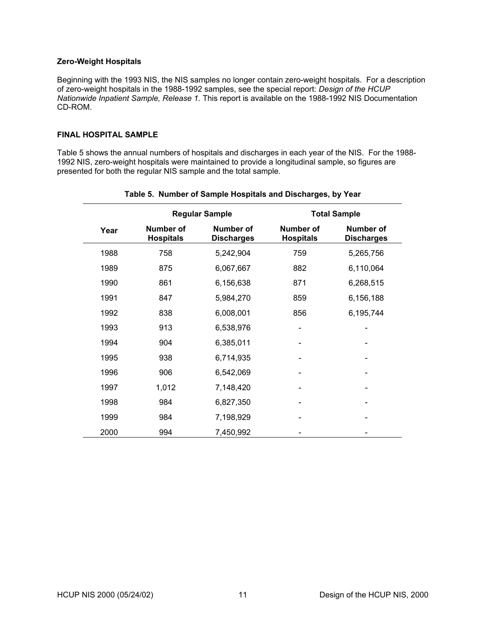#### <span id="page-13-0"></span>**Zero-Weight Hospitals**

Beginning with the 1993 NIS, the NIS samples no longer contain zero-weight hospitals. For a description of zero-weight hospitals in the 1988-1992 samples, see the special report: *Design of the HCUP Nationwide Inpatient Sample, Release 1.* This report is available on the 1988-1992 NIS Documentation CD-ROM.

#### **FINAL HOSPITAL SAMPLE**

[Table 5](#page-13-1) shows the annual numbers of hospitals and discharges in each year of the NIS. For the 1988- 1992 NIS, zero-weight hospitals were maintained to provide a longitudinal sample, so figures are presented for both the regular NIS sample and the total sample.

|                                       | <b>Regular Sample</b> |                                |                               | <b>Total Sample</b>            |
|---------------------------------------|-----------------------|--------------------------------|-------------------------------|--------------------------------|
| Number of<br>Year<br><b>Hospitals</b> |                       | Number of<br><b>Discharges</b> | Number of<br><b>Hospitals</b> | Number of<br><b>Discharges</b> |
| 1988                                  | 758                   | 5,242,904                      | 759                           | 5,265,756                      |
| 1989                                  | 875                   | 6,067,667                      | 882                           | 6,110,064                      |
| 1990                                  | 861                   | 6,156,638                      | 871                           | 6,268,515                      |
| 1991                                  | 847                   | 5,984,270                      | 859                           | 6,156,188                      |
| 1992                                  | 838                   | 6,008,001                      | 856                           | 6,195,744                      |
| 1993                                  | 913                   | 6,538,976                      |                               |                                |
| 1994                                  | 904                   | 6,385,011                      |                               |                                |
| 1995                                  | 938                   | 6,714,935                      |                               |                                |
| 1996                                  | 906                   | 6,542,069                      |                               |                                |
| 1997                                  | 1,012                 | 7,148,420                      |                               |                                |
| 1998                                  | 984                   | 6,827,350                      |                               |                                |
| 1999                                  | 984                   | 7,198,929                      |                               |                                |
| 2000                                  | 994                   | 7,450,992                      |                               |                                |

#### <span id="page-13-1"></span>**Table 5. Number of Sample Hospitals and Discharges, by Year**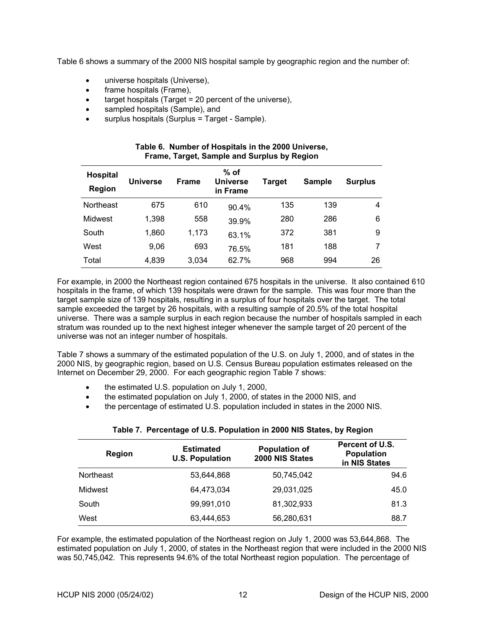<span id="page-14-0"></span>[Table 6](#page-14-1) shows a summary of the 2000 NIS hospital sample by geographic region and the number of:

- universe hospitals (Universe),
- frame hospitals (Frame),
- target hospitals (Target = 20 percent of the universe),
- sampled hospitals (Sample), and
- surplus hospitals (Surplus = Target Sample).

| Frame, Target, Sample and Surplus by Region |                 |              |                                       |        |               |                |  |
|---------------------------------------------|-----------------|--------------|---------------------------------------|--------|---------------|----------------|--|
| <b>Hospital</b><br><b>Region</b>            | <b>Universe</b> | <b>Frame</b> | $%$ of<br><b>Universe</b><br>in Frame | Target | <b>Sample</b> | <b>Surplus</b> |  |
| Northeast                                   | 675             | 610          | 90.4%                                 | 135    | 139           | 4              |  |
| Midwest                                     | 1,398           | 558          | 39.9%                                 | 280    | 286           | 6              |  |
| South                                       | 1,860           | 1,173        | 63.1%                                 | 372    | 381           | 9              |  |
| West                                        | 9,06            | 693          | 76.5%                                 | 181    | 188           |                |  |
| Total                                       | 4,839           | 3,034        | 62.7%                                 | 968    | 994           | 26             |  |

#### <span id="page-14-1"></span>**Table 6. Number of Hospitals in the 2000 Universe, Frame, Target, Sample and Surplus by Region**

For example, in 2000 the Northeast region contained 675 hospitals in the universe. It also contained 610 hospitals in the frame, of which 139 hospitals were drawn for the sample. This was four more than the target sample size of 139 hospitals, resulting in a surplus of four hospitals over the target. The total sample exceeded the target by 26 hospitals, with a resulting sample of 20.5% of the total hospital universe. There was a sample surplus in each region because the number of hospitals sampled in each stratum was rounded up to the next highest integer whenever the sample target of 20 percent of the universe was not an integer number of hospitals.

[Table 7](#page-14-2) shows a summary of the estimated population of the U.S. on July 1, 2000, and of states in the 2000 NIS, by geographic region, based on U.S. Census Bureau population estimates released on the Internet on December 29, 2000. For each geographic region [Table 7](#page-14-2) shows:

- the estimated U.S. population on July 1, 2000,
- the estimated population on July 1, 2000, of states in the 2000 NIS, and
- the percentage of estimated U.S. population included in states in the 2000 NIS.

| <b>Region</b> | <b>Estimated</b><br><b>U.S. Population</b> | <b>Population of</b><br>2000 NIS States | Percent of U.S.<br><b>Population</b><br>in NIS States |  |
|---------------|--------------------------------------------|-----------------------------------------|-------------------------------------------------------|--|
| Northeast     | 53.644.868                                 | 50,745,042                              | 94.6                                                  |  |
| Midwest       | 64.473.034                                 | 29,031,025                              | 45.0                                                  |  |
| South         | 99,991,010                                 | 81,302,933                              | 81.3                                                  |  |
| West          | 63,444,653                                 | 56,280,631                              | 88.7                                                  |  |

# <span id="page-14-2"></span>**Table 7. Percentage of U.S. Population in 2000 NIS States, by Region**

For example, the estimated population of the Northeast region on July 1, 2000 was 53,644,868. The estimated population on July 1, 2000, of states in the Northeast region that were included in the 2000 NIS was 50,745,042. This represents 94.6% of the total Northeast region population. The percentage of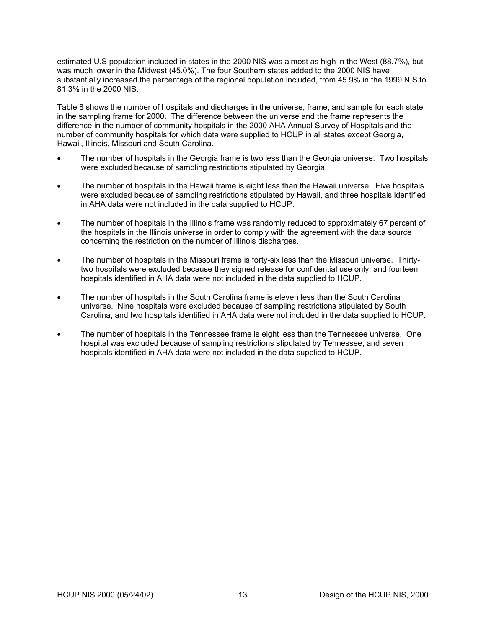estimated U.S population included in states in the 2000 NIS was almost as high in the West (88.7%), but was much lower in the Midwest (45.0%). The four Southern states added to the 2000 NIS have substantially increased the percentage of the regional population included, from 45.9% in the 1999 NIS to 81.3% in the 2000 NIS.

[Table 8](#page-16-1) shows the number of hospitals and discharges in the universe, frame, and sample for each state in the sampling frame for 2000. The difference between the universe and the frame represents the difference in the number of community hospitals in the 2000 AHA Annual Survey of Hospitals and the number of community hospitals for which data were supplied to HCUP in all states except Georgia, Hawaii, Illinois, Missouri and South Carolina.

- The number of hospitals in the Georgia frame is two less than the Georgia universe. Two hospitals were excluded because of sampling restrictions stipulated by Georgia.
- The number of hospitals in the Hawaii frame is eight less than the Hawaii universe. Five hospitals were excluded because of sampling restrictions stipulated by Hawaii, and three hospitals identified in AHA data were not included in the data supplied to HCUP.
- The number of hospitals in the Illinois frame was randomly reduced to approximately 67 percent of the hospitals in the Illinois universe in order to comply with the agreement with the data source concerning the restriction on the number of Illinois discharges.
- The number of hospitals in the Missouri frame is forty-six less than the Missouri universe. Thirtytwo hospitals were excluded because they signed release for confidential use only, and fourteen hospitals identified in AHA data were not included in the data supplied to HCUP.
- The number of hospitals in the South Carolina frame is eleven less than the South Carolina universe. Nine hospitals were excluded because of sampling restrictions stipulated by South Carolina, and two hospitals identified in AHA data were not included in the data supplied to HCUP.
- The number of hospitals in the Tennessee frame is eight less than the Tennessee universe. One hospital was excluded because of sampling restrictions stipulated by Tennessee, and seven hospitals identified in AHA data were not included in the data supplied to HCUP.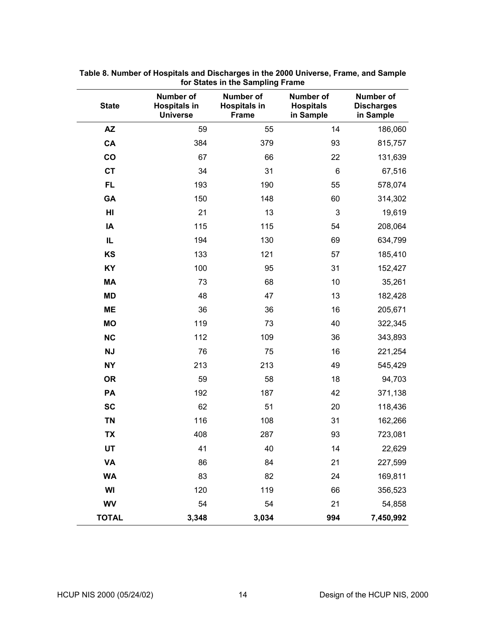| <b>State</b> | Number of<br><b>Hospitals in</b><br><b>Universe</b> | Number of<br><b>Hospitals in</b><br><b>Frame</b> | Number of<br><b>Hospitals</b><br>in Sample | <b>Number of</b><br><b>Discharges</b><br>in Sample |
|--------------|-----------------------------------------------------|--------------------------------------------------|--------------------------------------------|----------------------------------------------------|
| <b>AZ</b>    | 59                                                  | 55                                               | 14                                         | 186,060                                            |
| CA           | 384                                                 | 379                                              | 93                                         | 815,757                                            |
| co           | 67                                                  | 66                                               | 22                                         | 131,639                                            |
| <b>CT</b>    | 34                                                  | 31                                               | 6                                          | 67,516                                             |
| <b>FL</b>    | 193                                                 | 190                                              | 55                                         | 578,074                                            |
| GA           | 150                                                 | 148                                              | 60                                         | 314,302                                            |
| HI           | 21                                                  | 13                                               | 3                                          | 19,619                                             |
| IA           | 115                                                 | 115                                              | 54                                         | 208,064                                            |
| IL           | 194                                                 | 130                                              | 69                                         | 634,799                                            |
| KS           | 133                                                 | 121                                              | 57                                         | 185,410                                            |
| KY           | 100                                                 | 95                                               | 31                                         | 152,427                                            |
| <b>MA</b>    | 73                                                  | 68                                               | 10                                         | 35,261                                             |
| <b>MD</b>    | 48                                                  | 47                                               | 13                                         | 182,428                                            |
| <b>ME</b>    | 36                                                  | 36                                               | 16                                         | 205,671                                            |
| <b>MO</b>    | 119                                                 | 73                                               | 40                                         | 322,345                                            |
| <b>NC</b>    | 112                                                 | 109                                              | 36                                         | 343,893                                            |
| <b>NJ</b>    | 76                                                  | 75                                               | 16                                         | 221,254                                            |
| <b>NY</b>    | 213                                                 | 213                                              | 49                                         | 545,429                                            |
| <b>OR</b>    | 59                                                  | 58                                               | 18                                         | 94,703                                             |
| PA           | 192                                                 | 187                                              | 42                                         | 371,138                                            |
| <b>SC</b>    | 62                                                  | 51                                               | 20                                         | 118,436                                            |
| <b>TN</b>    | 116                                                 | 108                                              | 31                                         | 162,266                                            |
| <b>TX</b>    | 408                                                 | 287                                              | 93                                         | 723,081                                            |
| UT           | 41                                                  | 40                                               | 14                                         | 22,629                                             |
| <b>VA</b>    | 86                                                  | 84                                               | 21                                         | 227,599                                            |
| <b>WA</b>    | 83                                                  | 82                                               | 24                                         | 169,811                                            |
| WI           | 120                                                 | 119                                              | 66                                         | 356,523                                            |
| <b>WV</b>    | 54                                                  | 54                                               | 21                                         | 54,858                                             |
| <b>TOTAL</b> | 3,348                                               | 3,034                                            | 994                                        | 7,450,992                                          |

<span id="page-16-1"></span><span id="page-16-0"></span>**Table 8. Number of Hospitals and Discharges in the 2000 Universe, Frame, and Sample for States in the Sampling Frame**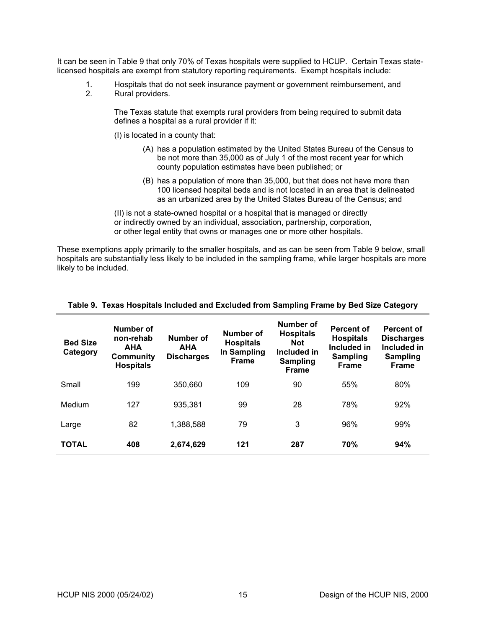<span id="page-17-0"></span>It can be seen in [Table 9](#page-17-1) that only 70% of Texas hospitals were supplied to HCUP. Certain Texas statelicensed hospitals are exempt from statutory reporting requirements. Exempt hospitals include:

- 1. Hospitals that do not seek insurance payment or government reimbursement, and <br>2. Rural providers.
- Rural providers.

The Texas statute that exempts rural providers from being required to submit data defines a hospital as a rural provider if it:

(I) is located in a county that:

- (A) has a population estimated by the United States Bureau of the Census to be not more than 35,000 as of July 1 of the most recent year for which county population estimates have been published; or
- (B) has a population of more than 35,000, but that does not have more than 100 licensed hospital beds and is not located in an area that is delineated as an urbanized area by the United States Bureau of the Census; and

(II) is not a state-owned hospital or a hospital that is managed or directly or indirectly owned by an individual, association, partnership, corporation, or other legal entity that owns or manages one or more other hospitals.

These exemptions apply primarily to the smaller hospitals, and as can be seen from [Table 9](#page-17-1) below, small hospitals are substantially less likely to be included in the sampling frame, while larger hospitals are more likely to be included.

| <b>Bed Size</b><br>Category | Number of<br>non-rehab<br><b>AHA</b><br>Community<br><b>Hospitals</b> | Number of<br><b>AHA</b><br><b>Discharges</b> | Number of<br><b>Hospitals</b><br>In Sampling<br><b>Frame</b> | Number of<br><b>Hospitals</b><br><b>Not</b><br>Included in<br><b>Sampling</b><br>Frame | <b>Percent of</b><br><b>Hospitals</b><br>Included in<br><b>Sampling</b><br><b>Frame</b> | Percent of<br><b>Discharges</b><br>Included in<br><b>Sampling</b><br><b>Frame</b> |
|-----------------------------|-----------------------------------------------------------------------|----------------------------------------------|--------------------------------------------------------------|----------------------------------------------------------------------------------------|-----------------------------------------------------------------------------------------|-----------------------------------------------------------------------------------|
| Small                       | 199                                                                   | 350,660                                      | 109                                                          | 90                                                                                     | 55%                                                                                     | 80%                                                                               |
| Medium                      | 127                                                                   | 935,381                                      | 99                                                           | 28                                                                                     | 78%                                                                                     | 92%                                                                               |
| Large                       | 82                                                                    | 1,388,588                                    | 79                                                           | 3                                                                                      | 96%                                                                                     | 99%                                                                               |
| <b>TOTAL</b>                | 408                                                                   | 2,674,629                                    | 121                                                          | 287                                                                                    | <b>70%</b>                                                                              | 94%                                                                               |

#### <span id="page-17-1"></span>**Table 9. Texas Hospitals Included and Excluded from Sampling Frame by Bed Size Category**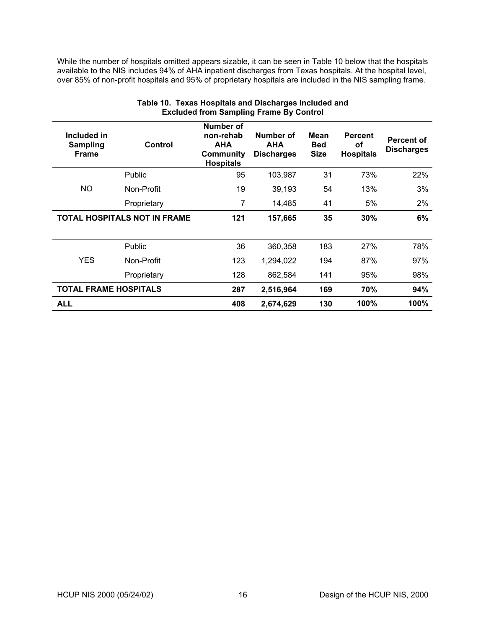<span id="page-18-0"></span>While the number of hospitals omitted appears sizable, it can be seen in [Table 10](#page-18-1) below that the hospitals available to the NIS includes 94% of AHA inpatient discharges from Texas hospitals. At the hospital level, over 85% of non-profit hospitals and 95% of proprietary hospitals are included in the NIS sampling frame.

| Included in<br><b>Sampling</b><br><b>Frame</b> | Control       | Number of<br>non-rehab<br><b>AHA</b><br>Community<br><b>Hospitals</b> | Number of<br><b>AHA</b><br><b>Discharges</b> | Mean<br><b>Bed</b><br><b>Size</b> | <b>Percent</b><br>οf<br><b>Hospitals</b> | Percent of<br><b>Discharges</b> |
|------------------------------------------------|---------------|-----------------------------------------------------------------------|----------------------------------------------|-----------------------------------|------------------------------------------|---------------------------------|
|                                                | <b>Public</b> | 95                                                                    | 103,987                                      | 31                                | 73%                                      | 22%                             |
| <b>NO</b>                                      | Non-Profit    | 19                                                                    | 39,193                                       | 54                                | 13%                                      | 3%                              |
|                                                | Proprietary   | 7                                                                     | 14,485                                       | 41                                | 5%                                       | $2\%$                           |
| <b>TOTAL HOSPITALS NOT IN FRAME</b>            |               | 121                                                                   | 157,665                                      | 35                                | 30%                                      | 6%                              |
|                                                |               |                                                                       |                                              |                                   |                                          |                                 |
|                                                | <b>Public</b> | 36                                                                    | 360,358                                      | 183                               | 27%                                      | 78%                             |
| <b>YES</b>                                     | Non-Profit    | 123                                                                   | 1,294,022                                    | 194                               | 87%                                      | 97%                             |
|                                                | Proprietary   | 128                                                                   | 862,584                                      | 141                               | 95%                                      | 98%                             |
| <b>TOTAL FRAME HOSPITALS</b>                   |               | 287                                                                   | 2,516,964                                    | 169                               | 70%                                      | 94%                             |
| <b>ALL</b>                                     |               | 408                                                                   | 2,674,629                                    | 130                               | 100%                                     | 100%                            |

# <span id="page-18-1"></span>**Table 10. Texas Hospitals and Discharges Included and Excluded from Sampling Frame By Control**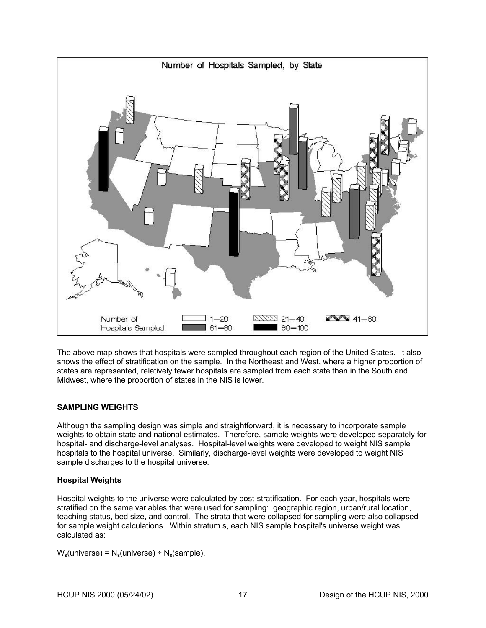<span id="page-19-0"></span>

The above map shows that hospitals were sampled throughout each region of the United States. It also shows the effect of stratification on the sample. In the Northeast and West, where a higher proportion of states are represented, relatively fewer hospitals are sampled from each state than in the South and Midwest, where the proportion of states in the NIS is lower.

# **SAMPLING WEIGHTS**

Although the sampling design was simple and straightforward, it is necessary to incorporate sample weights to obtain state and national estimates. Therefore, sample weights were developed separately for hospital- and discharge-level analyses. Hospital-level weights were developed to weight NIS sample hospitals to the hospital universe. Similarly, discharge-level weights were developed to weight NIS sample discharges to the hospital universe.

# **Hospital Weights**

Hospital weights to the universe were calculated by post-stratification. For each year, hospitals were stratified on the same variables that were used for sampling: geographic region, urban/rural location, teaching status, bed size, and control. The strata that were collapsed for sampling were also collapsed for sample weight calculations. Within stratum s, each NIS sample hospital's universe weight was calculated as:

 $W_s$ (universe) =  $N_s$ (universe) ÷  $N_s$ (sample),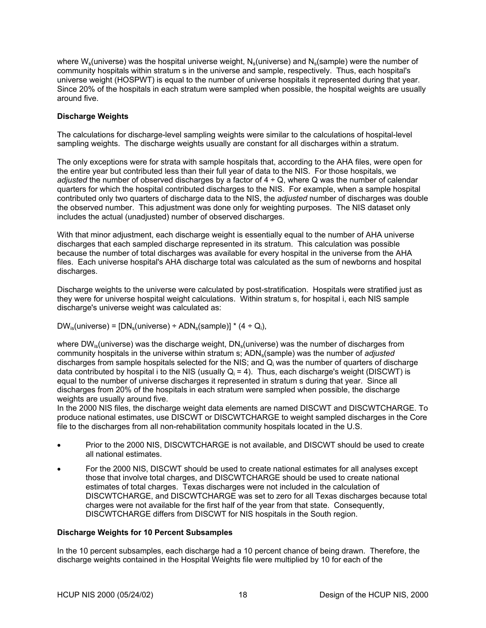<span id="page-20-0"></span>where  $W_s$ (universe) was the hospital universe weight,  $N_s$ (universe) and  $N_s$ (sample) were the number of community hospitals within stratum s in the universe and sample, respectively. Thus, each hospital's universe weight (HOSPWT) is equal to the number of universe hospitals it represented during that year. Since 20% of the hospitals in each stratum were sampled when possible, the hospital weights are usually around five.

# **Discharge Weights**

The calculations for discharge-level sampling weights were similar to the calculations of hospital-level sampling weights. The discharge weights usually are constant for all discharges within a stratum.

The only exceptions were for strata with sample hospitals that, according to the AHA files, were open for the entire year but contributed less than their full year of data to the NIS. For those hospitals, we *adjusted* the number of observed discharges by a factor of 4 ÷ Q, where Q was the number of calendar quarters for which the hospital contributed discharges to the NIS. For example, when a sample hospital contributed only two quarters of discharge data to the NIS, the *adjusted* number of discharges was double the observed number. This adjustment was done only for weighting purposes. The NIS dataset only includes the actual (unadjusted) number of observed discharges.

With that minor adjustment, each discharge weight is essentially equal to the number of AHA universe discharges that each sampled discharge represented in its stratum. This calculation was possible because the number of total discharges was available for every hospital in the universe from the AHA files. Each universe hospital's AHA discharge total was calculated as the sum of newborns and hospital discharges.

Discharge weights to the universe were calculated by post-stratification. Hospitals were stratified just as they were for universe hospital weight calculations. Within stratum s, for hospital i, each NIS sample discharge's universe weight was calculated as:

 $DW_{\text{is}}(\text{universe}) = [DN_{\text{s}}(\text{universe}) \div \text{ADN}_{\text{s}}(\text{sample})] * (4 \div Q_{\text{i}}),$ 

where  $DW_{is}$ (universe) was the discharge weight,  $DN_s$ (universe) was the number of discharges from community hospitals in the universe within stratum s; ADN<sub>s</sub>(sample) was the number of *adjusted* discharges from sample hospitals selected for the NIS; and  $Q_i$  was the number of quarters of discharge data contributed by hospital i to the NIS (usually  $Q_i$  = 4). Thus, each discharge's weight (DISCWT) is equal to the number of universe discharges it represented in stratum s during that year. Since all discharges from 20% of the hospitals in each stratum were sampled when possible, the discharge weights are usually around five.

In the 2000 NIS files, the discharge weight data elements are named DISCWT and DISCWTCHARGE. To produce national estimates, use DISCWT or DISCWTCHARGE to weight sampled discharges in the Core file to the discharges from all non-rehabilitation community hospitals located in the U.S.

- Prior to the 2000 NIS, DISCWTCHARGE is not available, and DISCWT should be used to create all national estimates.
- For the 2000 NIS, DISCWT should be used to create national estimates for all analyses except those that involve total charges, and DISCWTCHARGE should be used to create national estimates of total charges. Texas discharges were not included in the calculation of DISCWTCHARGE, and DISCWTCHARGE was set to zero for all Texas discharges because total charges were not available for the first half of the year from that state. Consequently, DISCWTCHARGE differs from DISCWT for NIS hospitals in the South region.

# **Discharge Weights for 10 Percent Subsamples**

In the 10 percent subsamples, each discharge had a 10 percent chance of being drawn. Therefore, the discharge weights contained in the Hospital Weights file were multiplied by 10 for each of the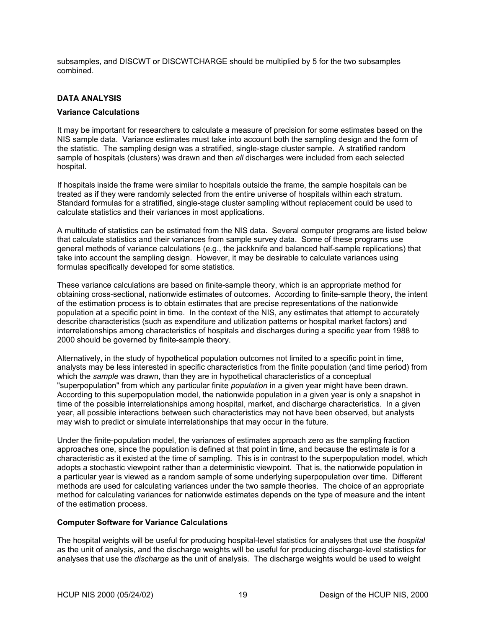<span id="page-21-0"></span>subsamples, and DISCWT or DISCWTCHARGE should be multiplied by 5 for the two subsamples combined.

# **DATA ANALYSIS**

# **Variance Calculations**

It may be important for researchers to calculate a measure of precision for some estimates based on the NIS sample data. Variance estimates must take into account both the sampling design and the form of the statistic. The sampling design was a stratified, single-stage cluster sample. A stratified random sample of hospitals (clusters) was drawn and then *all* discharges were included from each selected hospital.

If hospitals inside the frame were similar to hospitals outside the frame, the sample hospitals can be treated as if they were randomly selected from the entire universe of hospitals within each stratum. Standard formulas for a stratified, single-stage cluster sampling without replacement could be used to calculate statistics and their variances in most applications.

A multitude of statistics can be estimated from the NIS data. Several computer programs are listed below that calculate statistics and their variances from sample survey data. Some of these programs use general methods of variance calculations (e.g., the jackknife and balanced half-sample replications) that take into account the sampling design. However, it may be desirable to calculate variances using formulas specifically developed for some statistics.

These variance calculations are based on finite-sample theory, which is an appropriate method for obtaining cross-sectional, nationwide estimates of outcomes. According to finite-sample theory, the intent of the estimation process is to obtain estimates that are precise representations of the nationwide population at a specific point in time. In the context of the NIS, any estimates that attempt to accurately describe characteristics (such as expenditure and utilization patterns or hospital market factors) and interrelationships among characteristics of hospitals and discharges during a specific year from 1988 to 2000 should be governed by finite-sample theory.

Alternatively, in the study of hypothetical population outcomes not limited to a specific point in time, analysts may be less interested in specific characteristics from the finite population (and time period) from which the *sample* was drawn, than they are in hypothetical characteristics of a conceptual "superpopulation" from which any particular finite *population* in a given year might have been drawn. According to this superpopulation model, the nationwide population in a given year is only a snapshot in time of the possible interrelationships among hospital, market, and discharge characteristics. In a given year, all possible interactions between such characteristics may not have been observed, but analysts may wish to predict or simulate interrelationships that may occur in the future.

Under the finite-population model, the variances of estimates approach zero as the sampling fraction approaches one, since the population is defined at that point in time, and because the estimate is for a characteristic as it existed at the time of sampling. This is in contrast to the superpopulation model, which adopts a stochastic viewpoint rather than a deterministic viewpoint. That is, the nationwide population in a particular year is viewed as a random sample of some underlying superpopulation over time. Different methods are used for calculating variances under the two sample theories. The choice of an appropriate method for calculating variances for nationwide estimates depends on the type of measure and the intent of the estimation process.

# **Computer Software for Variance Calculations**

The hospital weights will be useful for producing hospital-level statistics for analyses that use the *hospital* as the unit of analysis, and the discharge weights will be useful for producing discharge-level statistics for analyses that use the *discharge* as the unit of analysis. The discharge weights would be used to weight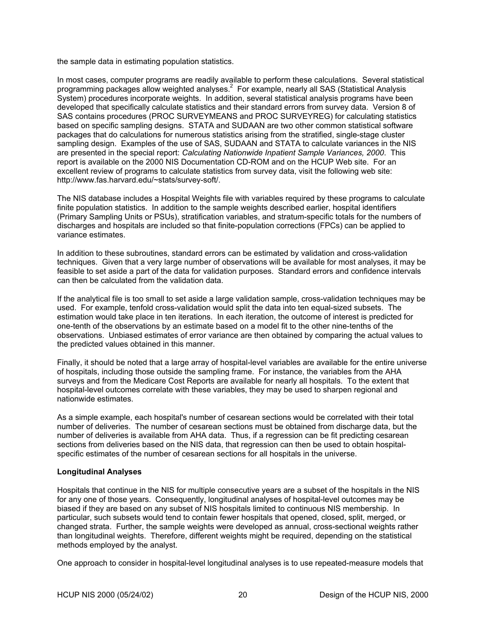<span id="page-22-0"></span>the sample data in estimating population statistics.

In most cases, computer programs are readily available to perform these calculations. Several statistical programming packages allow weighted analyses.<sup>2</sup> For example, nearly all SAS (Statistical Analysis System) procedures incorporate weights. In addition, several statistical analysis programs have been developed that specifically calculate statistics and their standard errors from survey data. Version 8 of SAS contains procedures (PROC SURVEYMEANS and PROC SURVEYREG) for calculating statistics based on specific sampling designs. STATA and SUDAAN are two other common statistical software packages that do calculations for numerous statistics arising from the stratified, single-stage cluster sampling design. Examples of the use of SAS, SUDAAN and STATA to calculate variances in the NIS are presented in the special report: *Calculating Nationwide Inpatient Sample Variances, 2000*. This report is available on the 2000 NIS Documentation CD-ROM and on the HCUP Web site. For an excellent review of programs to calculate statistics from survey data, visit the following web site: http://www.fas.harvard.edu/~stats/survey-soft/.

The NIS database includes a Hospital Weights file with variables required by these programs to calculate finite population statistics. In addition to the sample weights described earlier, hospital identifiers (Primary Sampling Units or PSUs), stratification variables, and stratum-specific totals for the numbers of discharges and hospitals are included so that finite-population corrections (FPCs) can be applied to variance estimates.

In addition to these subroutines, standard errors can be estimated by validation and cross-validation techniques. Given that a very large number of observations will be available for most analyses, it may be feasible to set aside a part of the data for validation purposes. Standard errors and confidence intervals can then be calculated from the validation data.

If the analytical file is too small to set aside a large validation sample, cross-validation techniques may be used. For example, tenfold cross-validation would split the data into ten equal-sized subsets. The estimation would take place in ten iterations. In each iteration, the outcome of interest is predicted for one-tenth of the observations by an estimate based on a model fit to the other nine-tenths of the observations. Unbiased estimates of error variance are then obtained by comparing the actual values to the predicted values obtained in this manner.

Finally, it should be noted that a large array of hospital-level variables are available for the entire universe of hospitals, including those outside the sampling frame. For instance, the variables from the AHA surveys and from the Medicare Cost Reports are available for nearly all hospitals. To the extent that hospital-level outcomes correlate with these variables, they may be used to sharpen regional and nationwide estimates.

As a simple example, each hospital's number of cesarean sections would be correlated with their total number of deliveries. The number of cesarean sections must be obtained from discharge data, but the number of deliveries is available from AHA data. Thus, if a regression can be fit predicting cesarean sections from deliveries based on the NIS data, that regression can then be used to obtain hospitalspecific estimates of the number of cesarean sections for all hospitals in the universe.

# **Longitudinal Analyses**

Hospitals that continue in the NIS for multiple consecutive years are a subset of the hospitals in the NIS for any one of those years. Consequently, longitudinal analyses of hospital-level outcomes may be biased if they are based on any subset of NIS hospitals limited to continuous NIS membership. In particular, such subsets would tend to contain fewer hospitals that opened, closed, split, merged, or changed strata. Further, the sample weights were developed as annual, cross-sectional weights rather than longitudinal weights. Therefore, different weights might be required, depending on the statistical methods employed by the analyst.

One approach to consider in hospital-level longitudinal analyses is to use repeated-measure models that